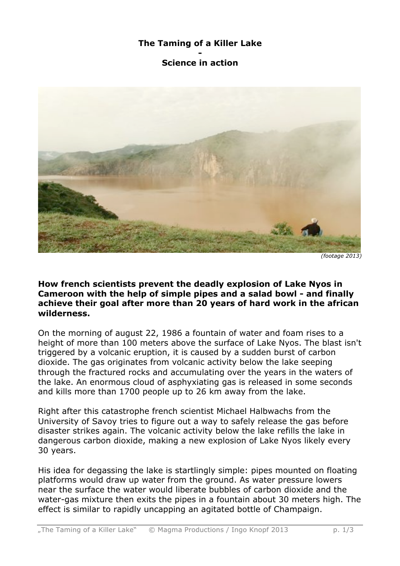## **The Taming of a Killer Lake**

## **- Science in action**



**How french scientists prevent the deadly explosion of Lake Nyos in Cameroon with the help of simple pipes and a salad bowl - and finally achieve their goal after more than 20 years of hard work in the african wilderness.**

On the morning of august 22, 1986 a fountain of water and foam rises to a height of more than 100 meters above the surface of Lake Nyos. The blast isn't triggered by a volcanic eruption, it is caused by a sudden burst of carbon dioxide. The gas originates from volcanic activity below the lake seeping through the fractured rocks and accumulating over the years in the waters of the lake. An enormous cloud of asphyxiating gas is released in some seconds and kills more than 1700 people up to 26 km away from the lake.

Right after this catastrophe french scientist Michael Halbwachs from the University of Savoy tries to figure out a way to safely release the gas before disaster strikes again. The volcanic activity below the lake refills the lake in dangerous carbon dioxide, making a new explosion of Lake Nyos likely every 30 years.

His idea for degassing the lake is startlingly simple: pipes mounted on floating platforms would draw up water from the ground. As water pressure lowers near the surface the water would liberate bubbles of carbon dioxide and the water-gas mixture then exits the pipes in a fountain about 30 meters high. The effect is similar to rapidly uncapping an agitated bottle of Champaign.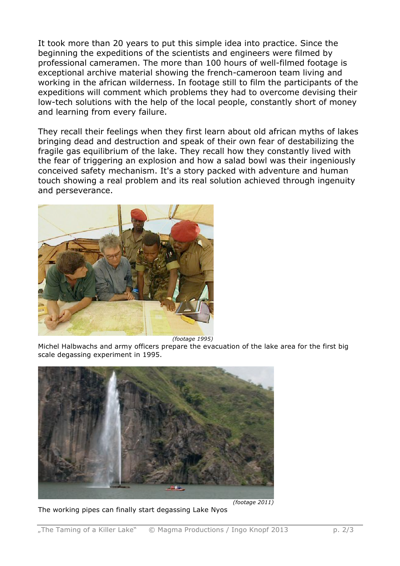It took more than 20 years to put this simple idea into practice. Since the beginning the expeditions of the scientists and engineers were filmed by professional cameramen. The more than 100 hours of well-filmed footage is exceptional archive material showing the french-cameroon team living and working in the african wilderness. In footage still to film the participants of the expeditions will comment which problems they had to overcome devising their low-tech solutions with the help of the local people, constantly short of money and learning from every failure.

They recall their feelings when they first learn about old african myths of lakes bringing dead and destruction and speak of their own fear of destabilizing the fragile gas equilibrium of the lake. They recall how they constantly lived with the fear of triggering an explosion and how a salad bowl was their ingeniously conceived safety mechanism. It's a story packed with adventure and human touch showing a real problem and its real solution achieved through ingenuity and perseverance.



 *(footage 1995)*

Michel Halbwachs and army officers prepare the evacuation of the lake area for the first big scale degassing experiment in 1995.



The working pipes can finally start degassing Lake Nyos